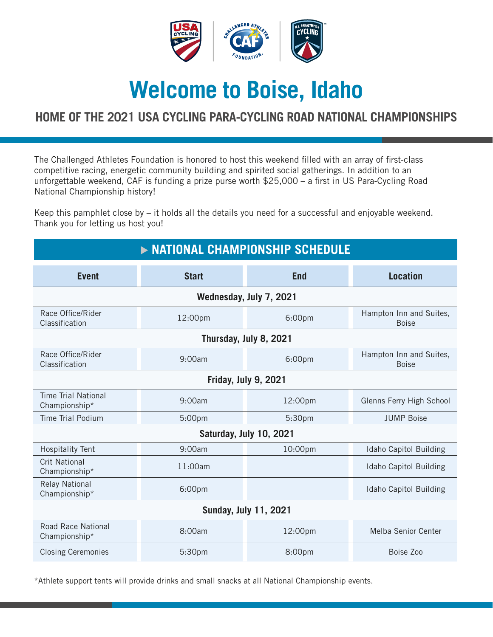

# **Welcome to Boise, Idaho**

## **HOME OF THE 2021 USA CYCLING PARA-CYCLING ROAD NATIONAL CHAMPIONSHIPS**

The Challenged Athletes Foundation is honored to host this weekend filled with an array of first-class competitive racing, energetic community building and spirited social gatherings. In addition to an unforgettable weekend, CAF is funding a prize purse worth \$25,000 – a first in US Para-Cycling Road National Championship history!

Keep this pamphlet close by – it holds all the details you need for a successful and enjoyable weekend. Thank you for letting us host you!

| > NATIONAL CHAMPIONSHIP SCHEDULE            |              |            |                                         |  |
|---------------------------------------------|--------------|------------|-----------------------------------------|--|
| <b>Event</b>                                | <b>Start</b> | <b>End</b> | <b>Location</b>                         |  |
| Wednesday, July 7, 2021                     |              |            |                                         |  |
| Race Office/Rider<br>Classification         | 12:00pm      | 6:00pm     | Hampton Inn and Suites,<br><b>Boise</b> |  |
| Thursday, July 8, 2021                      |              |            |                                         |  |
| Race Office/Rider<br>Classification         | 9:00am       | 6:00pm     | Hampton Inn and Suites,<br><b>Boise</b> |  |
| Friday, July 9, 2021                        |              |            |                                         |  |
| <b>Time Trial National</b><br>Championship* | 9:00am       | 12:00pm    | Glenns Ferry High School                |  |
| <b>Time Trial Podium</b>                    | 5:00pm       | 5:30pm     | <b>JUMP Boise</b>                       |  |
| Saturday, July 10, 2021                     |              |            |                                         |  |
| <b>Hospitality Tent</b>                     | 9:00am       | 10:00pm    | Idaho Capitol Building                  |  |
| <b>Crit National</b><br>Championship*       | 11:00am      |            | Idaho Capitol Building                  |  |
| <b>Relay National</b><br>Championship*      | 6:00pm       |            | Idaho Capitol Building                  |  |
| <b>Sunday, July 11, 2021</b>                |              |            |                                         |  |
| <b>Road Race National</b><br>Championship*  | 8:00am       | 12:00pm    | <b>Melba Senior Center</b>              |  |
| <b>Closing Ceremonies</b>                   | 5:30pm       | 8:00pm     | Boise Zoo                               |  |

\*Athlete support tents will provide drinks and small snacks at all National Championship events.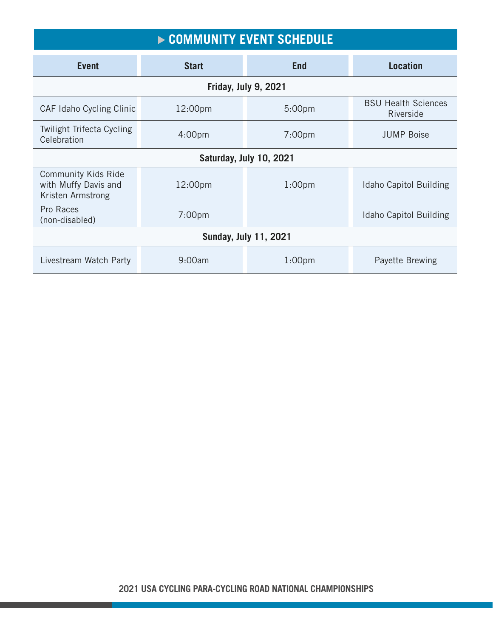| COMMUNITY EVENT SCHEDULE                                                |                    |                    |                                         |  |
|-------------------------------------------------------------------------|--------------------|--------------------|-----------------------------------------|--|
| <b>Event</b>                                                            | <b>Start</b>       | <b>End</b>         | <b>Location</b>                         |  |
| Friday, July 9, 2021                                                    |                    |                    |                                         |  |
| CAF Idaho Cycling Clinic                                                | 12:00pm            | 5:00 <sub>pm</sub> | <b>BSU Health Sciences</b><br>Riverside |  |
| <b>Twilight Trifecta Cycling</b><br>Celebration                         | 4:00 <sub>pm</sub> | 7:00 <sub>pm</sub> | <b>JUMP Boise</b>                       |  |
| Saturday, July 10, 2021                                                 |                    |                    |                                         |  |
| <b>Community Kids Ride</b><br>with Muffy Davis and<br>Kristen Armstrong | 12:00pm            | 1:00 <sub>pm</sub> | <b>Idaho Capitol Building</b>           |  |
| Pro Races<br>(non-disabled)                                             | 7:00 <sub>pm</sub> |                    | Idaho Capitol Building                  |  |
| <b>Sunday, July 11, 2021</b>                                            |                    |                    |                                         |  |
| Livestream Watch Party                                                  | 9:00am             | 1:00 <sub>pm</sub> | Payette Brewing                         |  |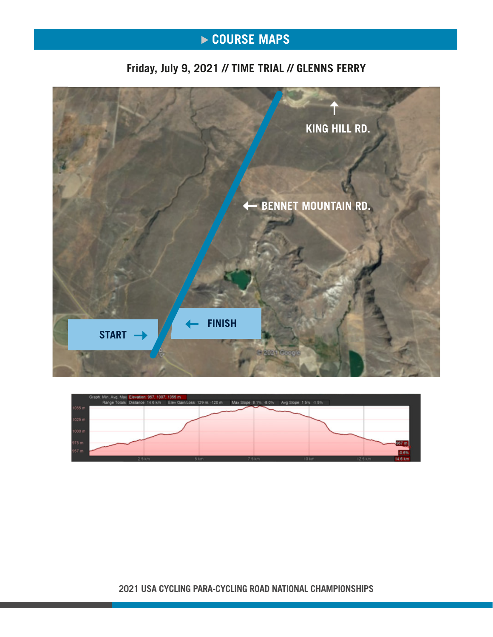# ▶ COURSE MAPS

## **Friday, July 9, 2021 // TIME TRIAL // GLENNS FERRY**





**2021 USA CYCLING PARA-CYCLING ROAD NATIONAL CHAMPIONSHIPS**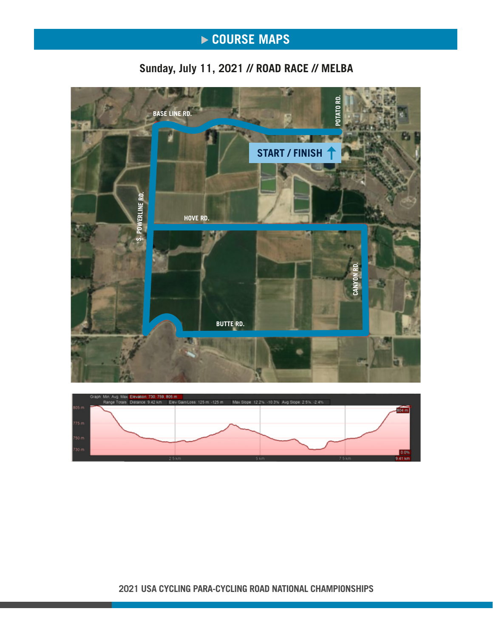# **COURSE MAPS**

## **Sunday, July 11, 2021 // ROAD RACE // MELBA**





**2021 USA CYCLING PARA-CYCLING ROAD NATIONAL CHAMPIONSHIPS**